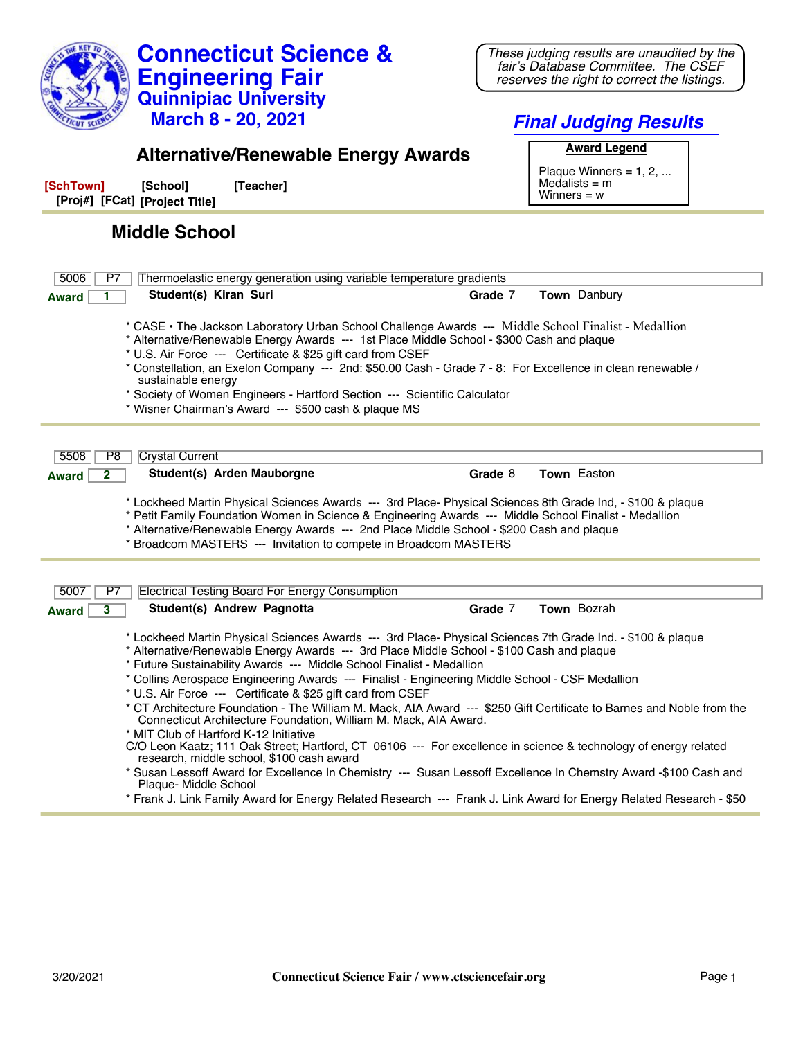